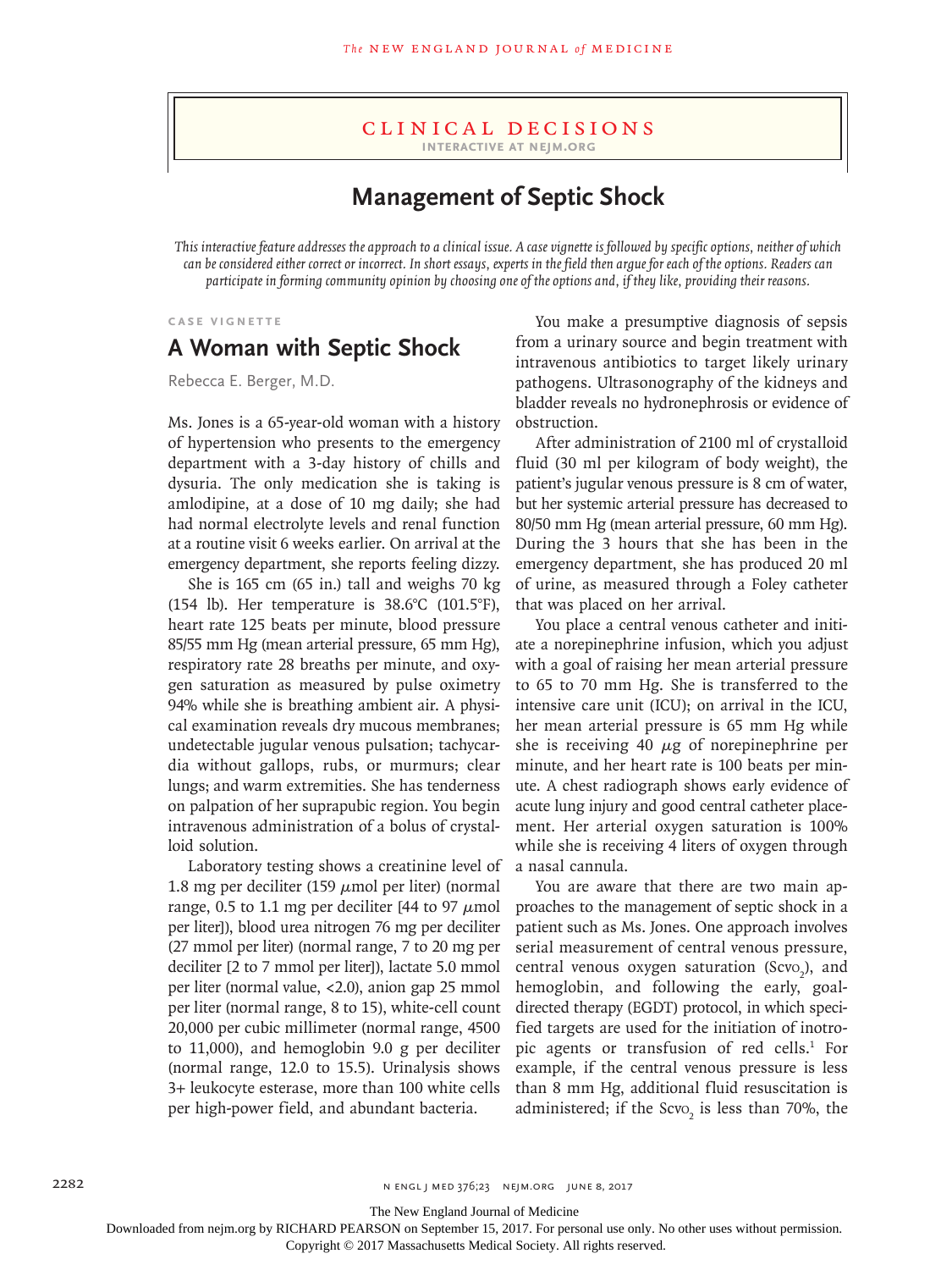#### Clinical Decisions **Interactive at nejm.org**

## **Management of Septic Shock**

*This interactive feature addresses the approach to a clinical issue. A case vignette is followed by specific options, neither of which can be considered either correct or incorrect. In short essays, experts in the field then argue for each of the options. Readers can participate in forming community opinion by choosing one of the options and, if they like, providing their reasons.*

#### **Case Vignette**

## **A Woman with Septic Shock**

Rebecca E. Berger, M.D.

Ms. Jones is a 65-year-old woman with a history of hypertension who presents to the emergency department with a 3-day history of chills and dysuria. The only medication she is taking is amlodipine, at a dose of 10 mg daily; she had had normal electrolyte levels and renal function at a routine visit 6 weeks earlier. On arrival at the emergency department, she reports feeling dizzy.

She is 165 cm (65 in.) tall and weighs 70 kg (154 lb). Her temperature is 38.6°C (101.5°F), heart rate 125 beats per minute, blood pressure 85/55 mm Hg (mean arterial pressure, 65 mm Hg), respiratory rate 28 breaths per minute, and oxygen saturation as measured by pulse oximetry 94% while she is breathing ambient air. A physical examination reveals dry mucous membranes; undetectable jugular venous pulsation; tachycardia without gallops, rubs, or murmurs; clear lungs; and warm extremities. She has tenderness on palpation of her suprapubic region. You begin intravenous administration of a bolus of crystalloid solution.

Laboratory testing shows a creatinine level of 1.8 mg per deciliter (159  $\mu$ mol per liter) (normal range, 0.5 to 1.1 mg per deciliter [44 to 97  $\mu$ mol] per liter]), blood urea nitrogen 76 mg per deciliter (27 mmol per liter) (normal range, 7 to 20 mg per deciliter [2 to 7 mmol per liter]), lactate 5.0 mmol per liter (normal value, <2.0), anion gap 25 mmol per liter (normal range, 8 to 15), white-cell count 20,000 per cubic millimeter (normal range, 4500 to 11,000), and hemoglobin 9.0 g per deciliter (normal range, 12.0 to 15.5). Urinalysis shows 3+ leukocyte esterase, more than 100 white cells per high-power field, and abundant bacteria.

You make a presumptive diagnosis of sepsis from a urinary source and begin treatment with intravenous antibiotics to target likely urinary pathogens. Ultrasonography of the kidneys and bladder reveals no hydronephrosis or evidence of obstruction.

After administration of 2100 ml of crystalloid fluid (30 ml per kilogram of body weight), the patient's jugular venous pressure is 8 cm of water, but her systemic arterial pressure has decreased to 80/50 mm Hg (mean arterial pressure, 60 mm Hg). During the 3 hours that she has been in the emergency department, she has produced 20 ml of urine, as measured through a Foley catheter that was placed on her arrival.

You place a central venous catheter and initiate a norepinephrine infusion, which you adjust with a goal of raising her mean arterial pressure to 65 to 70 mm Hg. She is transferred to the intensive care unit (ICU); on arrival in the ICU, her mean arterial pressure is 65 mm Hg while she is receiving 40  $\mu$ g of norepinephrine per minute, and her heart rate is 100 beats per minute. A chest radiograph shows early evidence of acute lung injury and good central catheter placement. Her arterial oxygen saturation is 100% while she is receiving 4 liters of oxygen through a nasal cannula.

You are aware that there are two main approaches to the management of septic shock in a patient such as Ms. Jones. One approach involves serial measurement of central venous pressure, central venous oxygen saturation (Scvo<sub>2</sub>), and hemoglobin, and following the early, goaldirected therapy (EGDT) protocol, in which specified targets are used for the initiation of inotropic agents or transfusion of red cells.<sup>1</sup> For example, if the central venous pressure is less than 8 mm Hg, additional fluid resuscitation is administered; if the  $Scvo<sub>2</sub>$  is less than 70%, the

The New England Journal of Medicine

Downloaded from nejm.org by RICHARD PEARSON on September 15, 2017. For personal use only. No other uses without permission.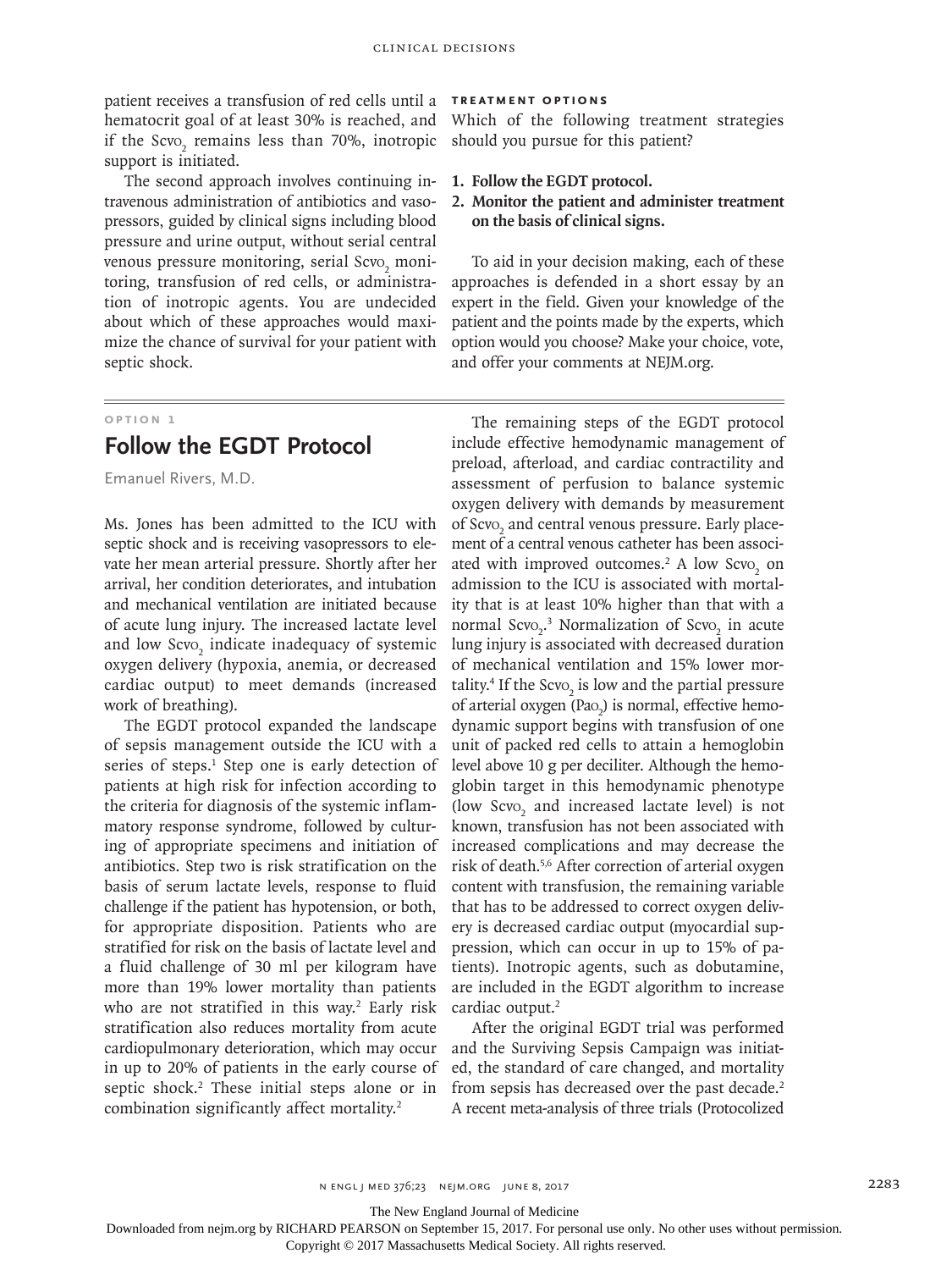patient receives a transfusion of red cells until a **Treatment Options** hematocrit goal of at least 30% is reached, and if the  $S$ cvo<sub>2</sub> remains less than 70%, inotropic support is initiated.

The second approach involves continuing intravenous administration of antibiotics and vasopressors, guided by clinical signs including blood pressure and urine output, without serial central venous pressure monitoring, serial  $\text{Scvo}_2$  monitoring, transfusion of red cells, or administration of inotropic agents. You are undecided about which of these approaches would maximize the chance of survival for your patient with septic shock.

### **Option 1**

## **Follow the EGDT Protocol**

Emanuel Rivers, M.D.

Ms. Jones has been admitted to the ICU with septic shock and is receiving vasopressors to elevate her mean arterial pressure. Shortly after her arrival, her condition deteriorates, and intubation and mechanical ventilation are initiated because of acute lung injury. The increased lactate level and low  $\text{Scvo}_2$  indicate inadequacy of systemic oxygen delivery (hypoxia, anemia, or decreased cardiac output) to meet demands (increased work of breathing).

The EGDT protocol expanded the landscape of sepsis management outside the ICU with a series of steps.<sup>1</sup> Step one is early detection of patients at high risk for infection according to the criteria for diagnosis of the systemic inflammatory response syndrome, followed by culturing of appropriate specimens and initiation of antibiotics. Step two is risk stratification on the basis of serum lactate levels, response to fluid challenge if the patient has hypotension, or both, for appropriate disposition. Patients who are stratified for risk on the basis of lactate level and a fluid challenge of 30 ml per kilogram have more than 19% lower mortality than patients who are not stratified in this way.<sup>2</sup> Early risk stratification also reduces mortality from acute cardiopulmonary deterioration, which may occur in up to 20% of patients in the early course of septic shock.<sup>2</sup> These initial steps alone or in combination significantly affect mortality.<sup>2</sup>

Which of the following treatment strategies should you pursue for this patient?

- **1. Follow the EGDT protocol.**
- **2. Monitor the patient and administer treatment on the basis of clinical signs.**

To aid in your decision making, each of these approaches is defended in a short essay by an expert in the field. Given your knowledge of the patient and the points made by the experts, which option would you choose? Make your choice, vote, and offer your comments at NEJM.org.

The remaining steps of the EGDT protocol include effective hemodynamic management of preload, afterload, and cardiac contractility and assessment of perfusion to balance systemic oxygen delivery with demands by measurement of Scvo<sub>2</sub> and central venous pressure. Early placement of a central venous catheter has been associated with improved outcomes.<sup>2</sup> A low Scvo<sub>2</sub> on admission to the ICU is associated with mortality that is at least 10% higher than that with a normal  $S$ cvo<sub>2</sub>.<sup>3</sup> Normalization of  $S$ cvo<sub>2</sub> in acute lung injury is associated with decreased duration of mechanical ventilation and 15% lower mortality.<sup>4</sup> If the Scvo<sub>2</sub> is low and the partial pressure of arterial oxygen (Pao<sub>2</sub>) is normal, effective hemodynamic support begins with transfusion of one unit of packed red cells to attain a hemoglobin level above 10 g per deciliter. Although the hemoglobin target in this hemodynamic phenotype (low  $S$ cvo<sub>2</sub> and increased lactate level) is not known, transfusion has not been associated with increased complications and may decrease the risk of death.5,6 After correction of arterial oxygen content with transfusion, the remaining variable that has to be addressed to correct oxygen delivery is decreased cardiac output (myocardial suppression, which can occur in up to 15% of patients). Inotropic agents, such as dobutamine, are included in the EGDT algorithm to increase cardiac output.<sup>2</sup>

After the original EGDT trial was performed and the Surviving Sepsis Campaign was initiated, the standard of care changed, and mortality from sepsis has decreased over the past decade.<sup>2</sup> A recent meta-analysis of three trials (Protocolized

The New England Journal of Medicine

Downloaded from nejm.org by RICHARD PEARSON on September 15, 2017. For personal use only. No other uses without permission.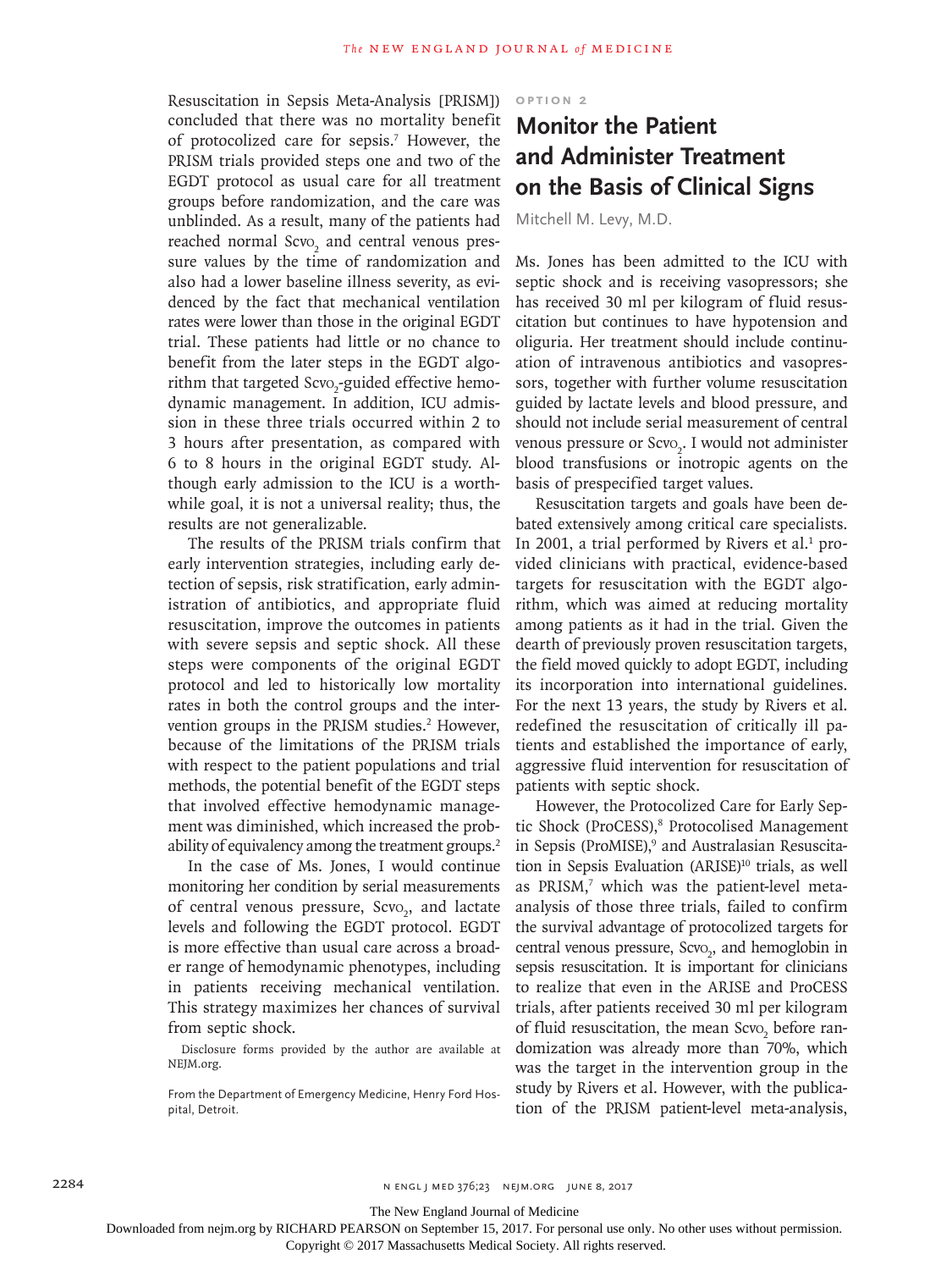Resuscitation in Sepsis Meta-Analysis [PRISM]) concluded that there was no mortality benefit of protocolized care for sepsis.<sup>7</sup> However, the PRISM trials provided steps one and two of the EGDT protocol as usual care for all treatment groups before randomization, and the care was unblinded. As a result, many of the patients had reached normal Scvo<sub>2</sub> and central venous pressure values by the time of randomization and also had a lower baseline illness severity, as evidenced by the fact that mechanical ventilation rates were lower than those in the original EGDT trial. These patients had little or no chance to benefit from the later steps in the EGDT algorithm that targeted Scvo<sub>2</sub>-guided effective hemodynamic management. In addition, ICU admission in these three trials occurred within 2 to 3 hours after presentation, as compared with 6 to 8 hours in the original EGDT study. Although early admission to the ICU is a worthwhile goal, it is not a universal reality; thus, the results are not generalizable.

The results of the PRISM trials confirm that early intervention strategies, including early detection of sepsis, risk stratification, early administration of antibiotics, and appropriate fluid resuscitation, improve the outcomes in patients with severe sepsis and septic shock. All these steps were components of the original EGDT protocol and led to historically low mortality rates in both the control groups and the intervention groups in the PRISM studies.<sup>2</sup> However, because of the limitations of the PRISM trials with respect to the patient populations and trial methods, the potential benefit of the EGDT steps that involved effective hemodynamic management was diminished, which increased the probability of equivalency among the treatment groups.<sup>2</sup>

In the case of Ms. Jones, I would continue monitoring her condition by serial measurements of central venous pressure, Scvo<sub>2</sub>, and lactate levels and following the EGDT protocol. EGDT is more effective than usual care across a broader range of hemodynamic phenotypes, including in patients receiving mechanical ventilation. This strategy maximizes her chances of survival from septic shock.

Disclosure forms provided by the author are available at NEJM.org.

From the Department of Emergency Medicine, Henry Ford Hospital, Detroit.

**Option 2**

# **Monitor the Patient and Administer Treatment on the Basis of Clinical Signs**

Mitchell M. Levy, M.D.

Ms. Jones has been admitted to the ICU with septic shock and is receiving vasopressors; she has received 30 ml per kilogram of fluid resuscitation but continues to have hypotension and oliguria. Her treatment should include continuation of intravenous antibiotics and vasopressors, together with further volume resuscitation guided by lactate levels and blood pressure, and should not include serial measurement of central venous pressure or Scvo<sub>2</sub>. I would not administer blood transfusions or inotropic agents on the basis of prespecified target values.

Resuscitation targets and goals have been debated extensively among critical care specialists. In 2001, a trial performed by Rivers et al.<sup>1</sup> provided clinicians with practical, evidence-based targets for resuscitation with the EGDT algorithm, which was aimed at reducing mortality among patients as it had in the trial. Given the dearth of previously proven resuscitation targets, the field moved quickly to adopt EGDT, including its incorporation into international guidelines. For the next 13 years, the study by Rivers et al. redefined the resuscitation of critically ill patients and established the importance of early, aggressive fluid intervention for resuscitation of patients with septic shock.

However, the Protocolized Care for Early Septic Shock (ProCESS),<sup>8</sup> Protocolised Management in Sepsis (ProMISE),<sup>9</sup> and Australasian Resuscitation in Sepsis Evaluation (ARISE)<sup>10</sup> trials, as well as PRISM,7 which was the patient-level metaanalysis of those three trials, failed to confirm the survival advantage of protocolized targets for central venous pressure, Scvo<sub>2</sub>, and hemoglobin in sepsis resuscitation. It is important for clinicians to realize that even in the ARISE and ProCESS trials, after patients received 30 ml per kilogram of fluid resuscitation, the mean Scvo<sub>2</sub> before randomization was already more than 70%, which was the target in the intervention group in the study by Rivers et al. However, with the publication of the PRISM patient-level meta-analysis,

The New England Journal of Medicine

Downloaded from nejm.org by RICHARD PEARSON on September 15, 2017. For personal use only. No other uses without permission.